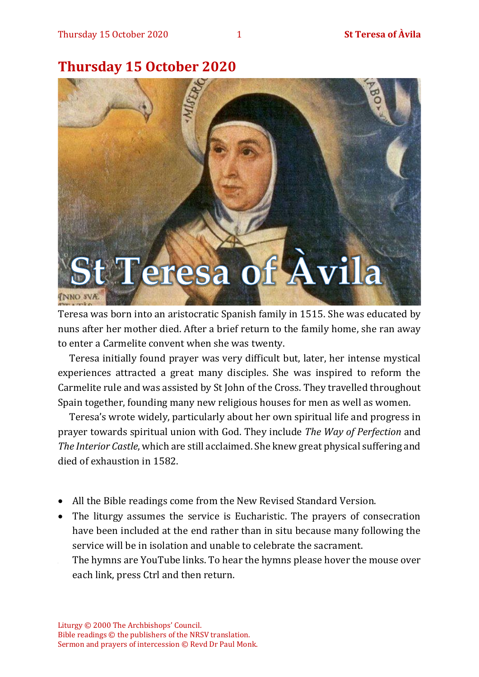## **Thursday 15 October 2020**



Teresa was born into an aristocratic Spanish family in 1515. She was educated by nuns after her mother died. After a brief return to the family home, she ran away to enter a Carmelite convent when she was twenty.

Teresa initially found prayer was very difficult but, later, her intense mystical experiences attracted a great many disciples. She was inspired to reform the Carmelite rule and was assisted by St John of the Cross. They travelled throughout Spain together, founding many new religious houses for men as well as women.

Teresa's wrote widely, particularly about her own spiritual life and progress in prayer towards spiritual union with God. They include *The Way of Perfection* and *The Interior Castle*, which are still acclaimed. She knew great physical suffering and died of exhaustion in 1582.

- All the Bible readings come from the New Revised Standard Version.
- The liturgy assumes the service is Eucharistic. The prayers of consecration have been included at the end rather than in situ because many following the service will be in isolation and unable to celebrate the sacrament.
- The hymns are YouTube links. To hear the hymns please hover the mouse over each link, press Ctrl and then return.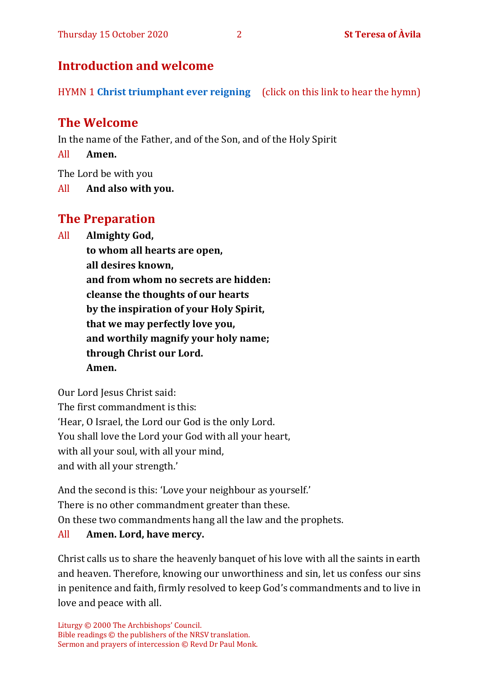## **Introduction and welcome**

HYMN 1 **[Christ triumphant ever reigning](https://youtu.be/N5Xz9V-6JPA)** (click on this link to hear the hymn)

## **The Welcome**

In the name of the Father, and of the Son, and of the Holy Spirit

All **Amen.**

The Lord be with you

All **And also with you.**

## **The Preparation**

All **Almighty God,**

**to whom all hearts are open, all desires known, and from whom no secrets are hidden: cleanse the thoughts of our hearts by the inspiration of your Holy Spirit, that we may perfectly love you, and worthily magnify your holy name; through Christ our Lord. Amen.**

Our Lord Jesus Christ said: The first commandment is this: 'Hear, O Israel, the Lord our God is the only Lord. You shall love the Lord your God with all your heart, with all your soul, with all your mind, and with all your strength.'

And the second is this: 'Love your neighbour as yourself.' There is no other commandment greater than these. On these two commandments hang all the law and the prophets. All **Amen. Lord, have mercy.**

Christ calls us to share the heavenly banquet of his love with all the saints in earth and heaven. Therefore, knowing our unworthiness and sin, let us confess our sins in penitence and faith, firmly resolved to keep God's commandments and to live in love and peace with all.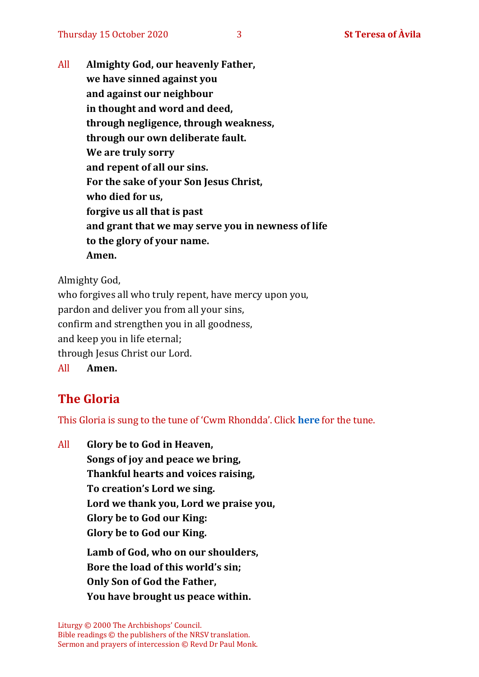All **Almighty God, our heavenly Father, we have sinned against you and against our neighbour in thought and word and deed, through negligence, through weakness, through our own deliberate fault. We are truly sorry and repent of all our sins. For the sake of your Son Jesus Christ, who died for us, forgive us all that is past and grant that we may serve you in newness of life to the glory of your name. Amen.**

Almighty God,

who forgives all who truly repent, have mercy upon you, pardon and deliver you from all your sins, confirm and strengthen you in all goodness, and keep you in life eternal; through Jesus Christ our Lord. All **Amen.**

## **The Gloria**

This Gloria is sung to the tune of 'Cwm Rhondda'. Click **[here](about:blank)** for the tune.

All **Glory be to God in Heaven, Songs of joy and peace we bring, Thankful hearts and voices raising, To creation's Lord we sing. Lord we thank you, Lord we praise you, Glory be to God our King: Glory be to God our King. Lamb of God, who on our shoulders, Bore the load of this world's sin; Only Son of God the Father, You have brought us peace within.**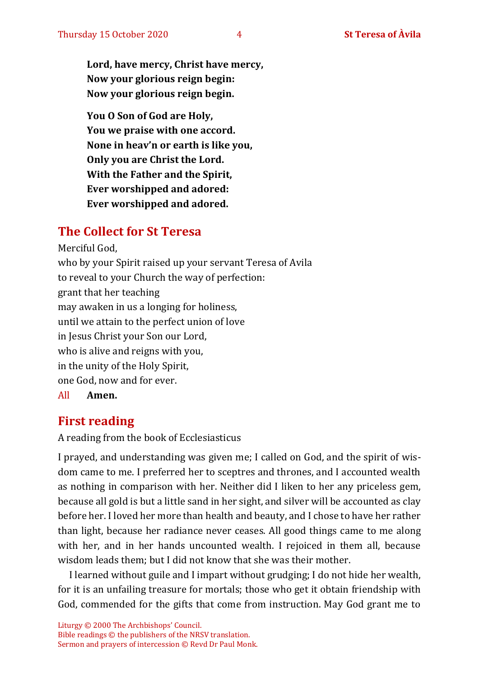**Lord, have mercy, Christ have mercy, Now your glorious reign begin: Now your glorious reign begin.**

**You O Son of God are Holy, You we praise with one accord. None in heav'n or earth is like you, Only you are Christ the Lord. With the Father and the Spirit, Ever worshipped and adored: Ever worshipped and adored.**

## **The Collect for St Teresa**

Merciful God, who by your Spirit raised up your servant Teresa of Avila to reveal to your Church the way of perfection: grant that her teaching may awaken in us a longing for holiness, until we attain to the perfect union of love in Jesus Christ your Son our Lord, who is alive and reigns with you, in the unity of the Holy Spirit, one God, now and for ever. All **Amen.**

## **First reading**

A reading from the book of Ecclesiasticus

I prayed, and understanding was given me; I called on God, and the spirit of wisdom came to me. I preferred her to sceptres and thrones, and I accounted wealth as nothing in comparison with her. Neither did I liken to her any priceless gem, because all gold is but a little sand in her sight, and silver will be accounted as clay before her. I loved her more than health and beauty, and I chose to have her rather than light, because her radiance never ceases. All good things came to me along with her, and in her hands uncounted wealth. I rejoiced in them all, because wisdom leads them; but I did not know that she was their mother.

I learned without guile and I impart without grudging; I do not hide her wealth, for it is an unfailing treasure for mortals; those who get it obtain friendship with God, commended for the gifts that come from instruction. May God grant me to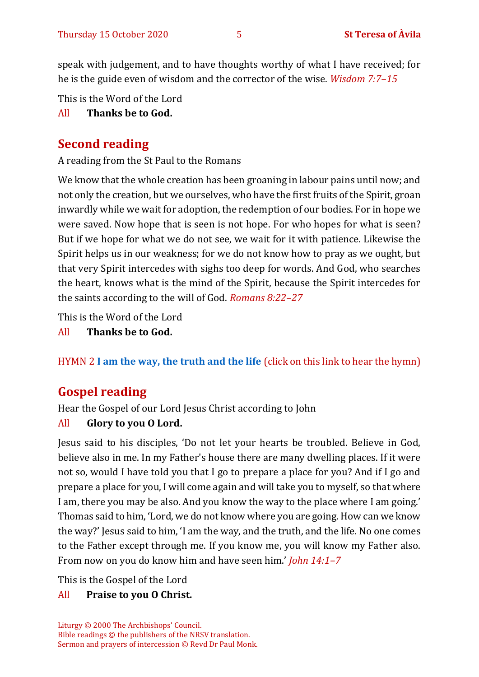speak with judgement, and to have thoughts worthy of what I have received; for he is the guide even of wisdom and the corrector of the wise. *Wisdom 7:7–15*

This is the Word of the Lord

#### All **Thanks be to God.**

## **Second reading**

A reading from the St Paul to the Romans

We know that the whole creation has been groaning in labour pains until now; and not only the creation, but we ourselves, who have the first fruits of the Spirit, groan inwardly while we wait for adoption, the redemption of our bodies. For in hope we were saved. Now hope that is seen is not hope. For who hopes for what is seen? But if we hope for what we do not see, we wait for it with patience. Likewise the Spirit helps us in our weakness; for we do not know how to pray as we ought, but that very Spirit intercedes with sighs too deep for words. And God, who searches the heart, knows what is the mind of the Spirit, because the Spirit intercedes for the saints according to the will of God. *Romans 8:22–27*

This is the Word of the Lord

All **Thanks be to God.**

HYMN 2 **[I am the way, the truth and the life](https://www.youtube.com/watch?v=ug1OrL57YhI)** (click on this link to hear the hymn)

## **Gospel reading**

Hear the Gospel of our Lord Jesus Christ according to John

#### All **Glory to you O Lord.**

Jesus said to his disciples, 'Do not let your hearts be troubled. Believe in God, believe also in me. In my Father's house there are many dwelling places. If it were not so, would I have told you that I go to prepare a place for you? And if I go and prepare a place for you, I will come again and will take you to myself, so that where I am, there you may be also. And you know the way to the place where I am going.' Thomas said to him, 'Lord, we do not know where you are going. How can we know the way?' Jesus said to him, 'I am the way, and the truth, and the life. No one comes to the Father except through me. If you know me, you will know my Father also. From now on you do know him and have seen him.' *John 14:1–7*

This is the Gospel of the Lord

#### All **Praise to you O Christ.**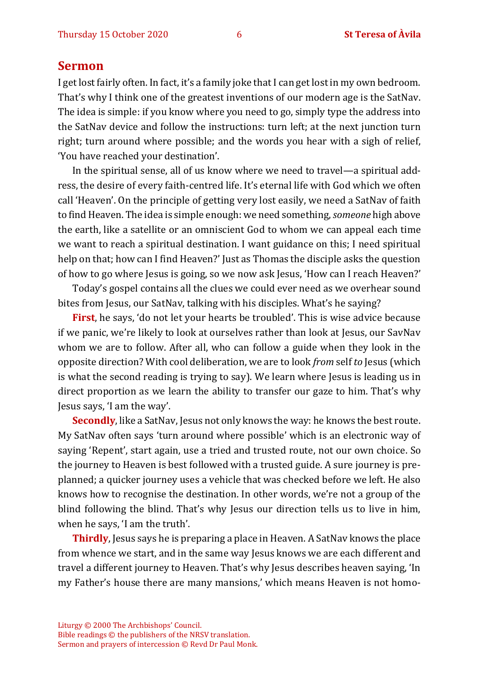#### **Sermon**

I get lost fairly often. In fact, it's a family joke that I can get lost in my own bedroom. That's why I think one of the greatest inventions of our modern age is the SatNav. The idea is simple: if you know where you need to go, simply type the address into the SatNav device and follow the instructions: turn left; at the next junction turn right; turn around where possible; and the words you hear with a sigh of relief, 'You have reached your destination'.

In the spiritual sense, all of us know where we need to travel—a spiritual address, the desire of every faith-centred life. It's eternal life with God which we often call 'Heaven'. On the principle of getting very lost easily, we need a SatNav of faith to find Heaven. The idea is simple enough: we need something, *someone* high above the earth, like a satellite or an omniscient God to whom we can appeal each time we want to reach a spiritual destination. I want guidance on this; I need spiritual help on that; how can I find Heaven?' Just as Thomas the disciple asks the question of how to go where Jesus is going, so we now ask Jesus, 'How can I reach Heaven?'

Today's gospel contains all the clues we could ever need as we overhear sound bites from Jesus, our SatNav, talking with his disciples. What's he saying?

**First**, he says, 'do not let your hearts be troubled'. This is wise advice because if we panic, we're likely to look at ourselves rather than look at Jesus, our SavNav whom we are to follow. After all, who can follow a guide when they look in the opposite direction? With cool deliberation, we are to look *from* self *to* Jesus (which is what the second reading is trying to say). We learn where Jesus is leading us in direct proportion as we learn the ability to transfer our gaze to him. That's why Jesus says, 'I am the way'.

**Secondly**, like a SatNav, Jesus not only knows the way: he knows the best route. My SatNav often says 'turn around where possible' which is an electronic way of saying 'Repent', start again, use a tried and trusted route, not our own choice. So the journey to Heaven is best followed with a trusted guide. A sure journey is preplanned; a quicker journey uses a vehicle that was checked before we left. He also knows how to recognise the destination. In other words, we're not a group of the blind following the blind. That's why Jesus our direction tells us to live in him, when he says, 'I am the truth'.

**Thirdly**, Jesus says he is preparing a place in Heaven. A SatNav knows the place from whence we start, and in the same way Jesus knows we are each different and travel a different journey to Heaven. That's why Jesus describes heaven saying, 'In my Father's house there are many mansions,' which means Heaven is not homo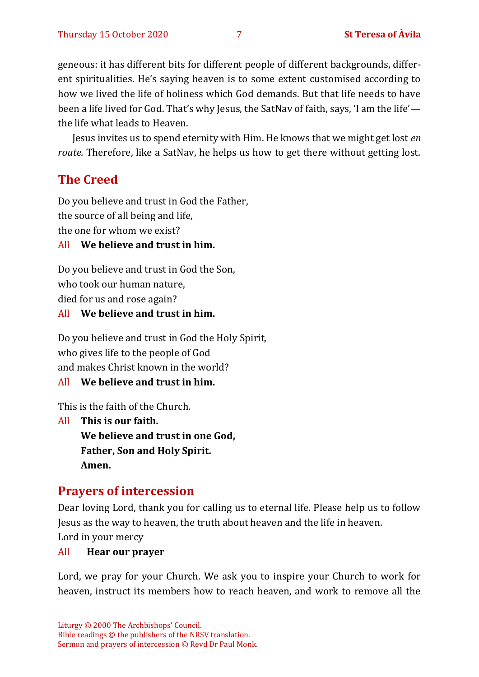geneous: it has different bits for different people of different backgrounds, different spiritualities. He's saying heaven is to some extent customised according to how we lived the life of holiness which God demands. But that life needs to have been a life lived for God. That's why Jesus, the SatNav of faith, says, 'I am the life' the life what leads to Heaven.

Jesus invites us to spend eternity with Him. He knows that we might get lost *en route.* Therefore, like a SatNav, he helps us how to get there without getting lost.

## **The Creed**

Do you believe and trust in God the Father, the source of all being and life, the one for whom we exist?

#### All **We believe and trust in him.**

Do you believe and trust in God the Son, who took our human nature, died for us and rose again?

#### All **We believe and trust in him.**

Do you believe and trust in God the Holy Spirit, who gives life to the people of God and makes Christ known in the world?

#### All **We believe and trust in him.**

This is the faith of the Church.

All **This is our faith. We believe and trust in one God, Father, Son and Holy Spirit.** 

**Amen.**

## **Prayers of intercession**

Dear loving Lord, thank you for calling us to eternal life. Please help us to follow Jesus as the way to heaven, the truth about heaven and the life in heaven.

Lord in your mercy

#### All **Hear our prayer**

Lord, we pray for your Church. We ask you to inspire your Church to work for heaven, instruct its members how to reach heaven, and work to remove all the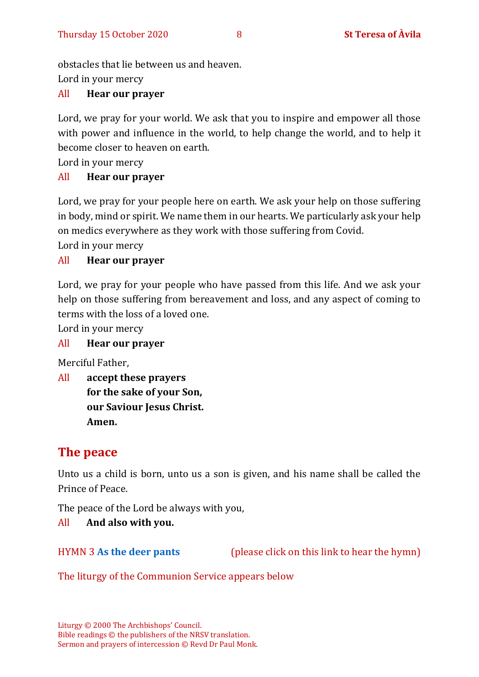obstacles that lie between us and heaven.

Lord in your mercy

#### All **Hear our prayer**

Lord, we pray for your world. We ask that you to inspire and empower all those with power and influence in the world, to help change the world, and to help it become closer to heaven on earth.

Lord in your mercy

#### All **Hear our prayer**

Lord, we pray for your people here on earth. We ask your help on those suffering in body, mind or spirit. We name them in our hearts. We particularly ask your help on medics everywhere as they work with those suffering from Covid.

Lord in your mercy

#### All **Hear our prayer**

Lord, we pray for your people who have passed from this life. And we ask your help on those suffering from bereavement and loss, and any aspect of coming to terms with the loss of a loved one.

Lord in your mercy

#### All **Hear our prayer**

Merciful Father,

All **accept these prayers for the sake of your Son, our Saviour Jesus Christ. Amen.**

## **The peace**

Unto us a child is born, unto us a son is given, and his name shall be called the Prince of Peace.

The peace of the Lord be always with you,

All **And also with you.**

HYMN 3 **[As the deer pants](https://youtu.be/peZudXt9faU)** (please click on this link to hear the hymn)

The liturgy of the Communion Service appears below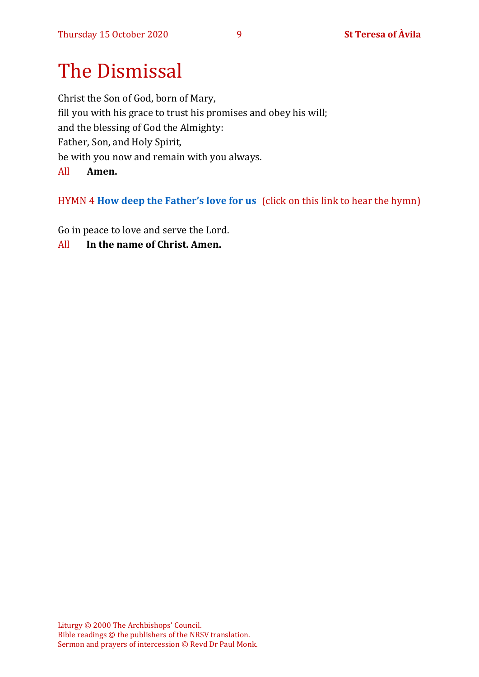# The Dismissal

Christ the Son of God, born of Mary, fill you with his grace to trust his promises and obey his will; and the blessing of God the Almighty: Father, Son, and Holy Spirit, be with you now and remain with you always. All **Amen.**

HYMN 4 **[How deep the Father's love for us](https://youtu.be/tzQj7XvKFmA)** (click on this link to hear the hymn)

Go in peace to love and serve the Lord.

All **In the name of Christ. Amen.**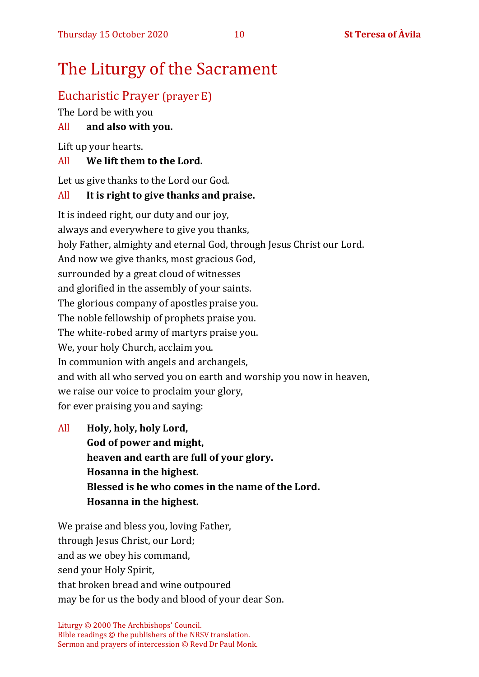# The Liturgy of the Sacrament

## Eucharistic Prayer (prayer E)

The Lord be with you

## All **and also with you.**

Lift up your hearts.

## All **We lift them to the Lord.**

Let us give thanks to the Lord our God.

## All **It is right to give thanks and praise.**

It is indeed right, our duty and our joy, always and everywhere to give you thanks, holy Father, almighty and eternal God, through Jesus Christ our Lord. And now we give thanks, most gracious God, surrounded by a great cloud of witnesses and glorified in the assembly of your saints. The glorious company of apostles praise you. The noble fellowship of prophets praise you. The white-robed army of martyrs praise you. We, your holy Church, acclaim you. In communion with angels and archangels, and with all who served you on earth and worship you now in heaven, we raise our voice to proclaim your glory, for ever praising you and saying:

All **Holy, holy, holy Lord, God of power and might, heaven and earth are full of your glory. Hosanna in the highest. Blessed is he who comes in the name of the Lord. Hosanna in the highest.**

We praise and bless you, loving Father, through Jesus Christ, our Lord; and as we obey his command, send your Holy Spirit, that broken bread and wine outpoured may be for us the body and blood of your dear Son.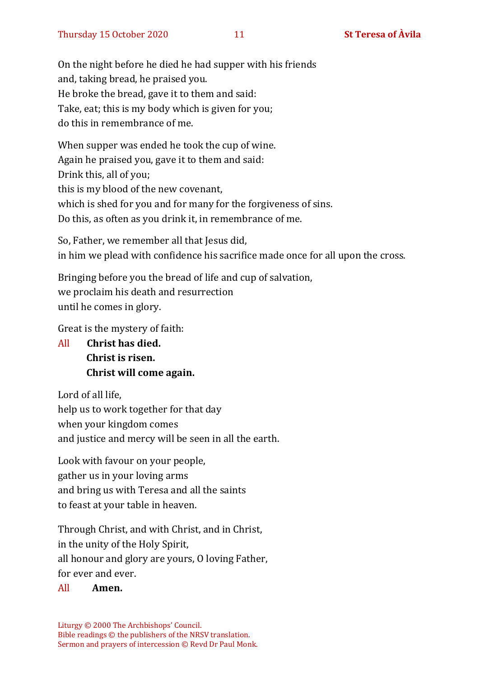On the night before he died he had supper with his friends and, taking bread, he praised you. He broke the bread, gave it to them and said: Take, eat; this is my body which is given for you; do this in remembrance of me.

When supper was ended he took the cup of wine. Again he praised you, gave it to them and said: Drink this, all of you; this is my blood of the new covenant, which is shed for you and for many for the forgiveness of sins. Do this, as often as you drink it, in remembrance of me.

So, Father, we remember all that Jesus did, in him we plead with confidence his sacrifice made once for all upon the cross.

Bringing before you the bread of life and cup of salvation, we proclaim his death and resurrection until he comes in glory.

Great is the mystery of faith:

All **Christ has died. Christ is risen. Christ will come again.**

Lord of all life, help us to work together for that day when your kingdom comes and justice and mercy will be seen in all the earth.

Look with favour on your people, gather us in your loving arms and bring us with Teresa and all the saints to feast at your table in heaven.

Through Christ, and with Christ, and in Christ, in the unity of the Holy Spirit, all honour and glory are yours, O loving Father, for ever and ever.

#### All **Amen.**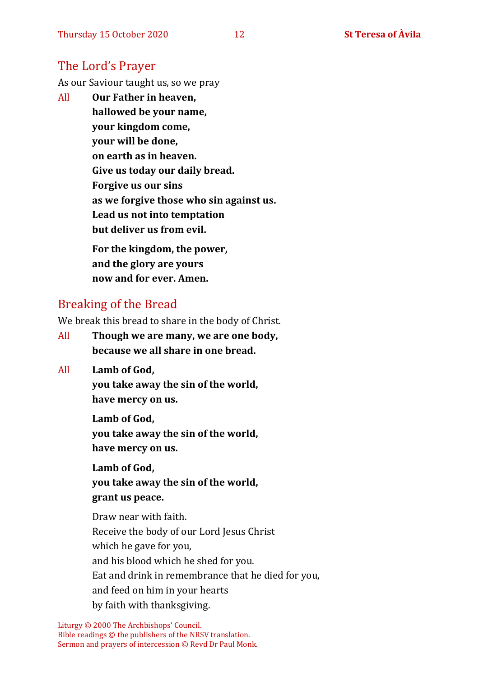### The Lord's Prayer

As our Saviour taught us, so we pray

All **Our Father in heaven, hallowed be your name, your kingdom come, your will be done, on earth as in heaven. Give us today our daily bread. Forgive us our sins as we forgive those who sin against us. Lead us not into temptation but deliver us from evil. For the kingdom, the power,** 

**and the glory are yours now and for ever. Amen.**

### Breaking of the Bread

We break this bread to share in the body of Christ.

- All **Though we are many, we are one body, because we all share in one bread.**
- All **Lamb of God,**

**you take away the sin of the world, have mercy on us.**

**Lamb of God, you take away the sin of the world, have mercy on us.**

**Lamb of God, you take away the sin of the world, grant us peace.**

Draw near with faith. Receive the body of our Lord Jesus Christ which he gave for you, and his blood which he shed for you. Eat and drink in remembrance that he died for you, and feed on him in your hearts by faith with thanksgiving.